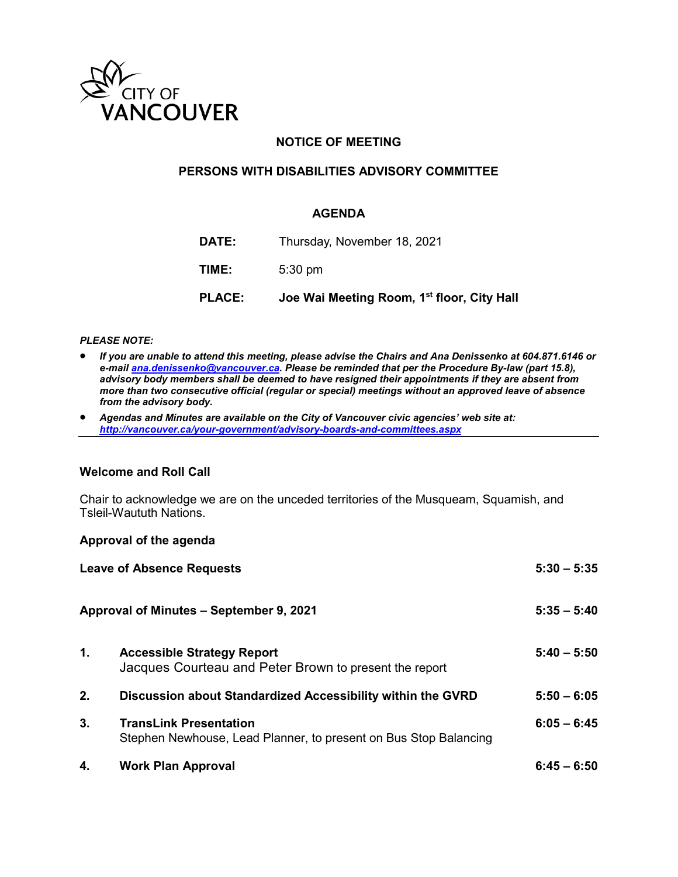

### **NOTICE OF MEETING**

### **PERSONS WITH DISABILITIES ADVISORY COMMITTEE**

### **AGENDA**

| <b>PLACE:</b> | Joe Wai Meeting Room, 1 <sup>st</sup> floor, City Hall |
|---------------|--------------------------------------------------------|
| TIME:         | $5:30$ pm                                              |
| DATE:         | Thursday, November 18, 2021                            |

#### *PLEASE NOTE:*

- *If you are unable to attend this meeting, please advise the Chairs and Ana Denissenko at 604.871.6146 or e-mai[l ana.denissenko@vancouver.ca.](mailto:ana.denissenko@vancouver.ca) Please be reminded that per the Procedure By-law (part 15.8), advisory body members shall be deemed to have resigned their appointments if they are absent from more than two consecutive official (regular or special) meetings without an approved leave of absence from the advisory body.*
- *Agendas and Minutes are available on the City of Vancouver civic agencies' web site at: <http://vancouver.ca/your-government/advisory-boards-and-committees.aspx>*

#### **Welcome and Roll Call**

Chair to acknowledge we are on the unceded territories of the Musqueam, Squamish, and Tsleil-Waututh Nations.

#### **Approval of the agenda**

|                | <b>Leave of Absence Requests</b>                                                                  |               |
|----------------|---------------------------------------------------------------------------------------------------|---------------|
|                | Approval of Minutes – September 9, 2021                                                           | $5:35 - 5:40$ |
| $\mathbf{1}$ . | <b>Accessible Strategy Report</b><br>Jacques Courteau and Peter Brown to present the report       | $5:40 - 5:50$ |
| 2.             | Discussion about Standardized Accessibility within the GVRD                                       | $5:50 - 6:05$ |
| 3 <sub>1</sub> | <b>TransLink Presentation</b><br>Stephen Newhouse, Lead Planner, to present on Bus Stop Balancing | $6:05 - 6:45$ |
| 4.             | <b>Work Plan Approval</b>                                                                         | $6:45 - 6:50$ |